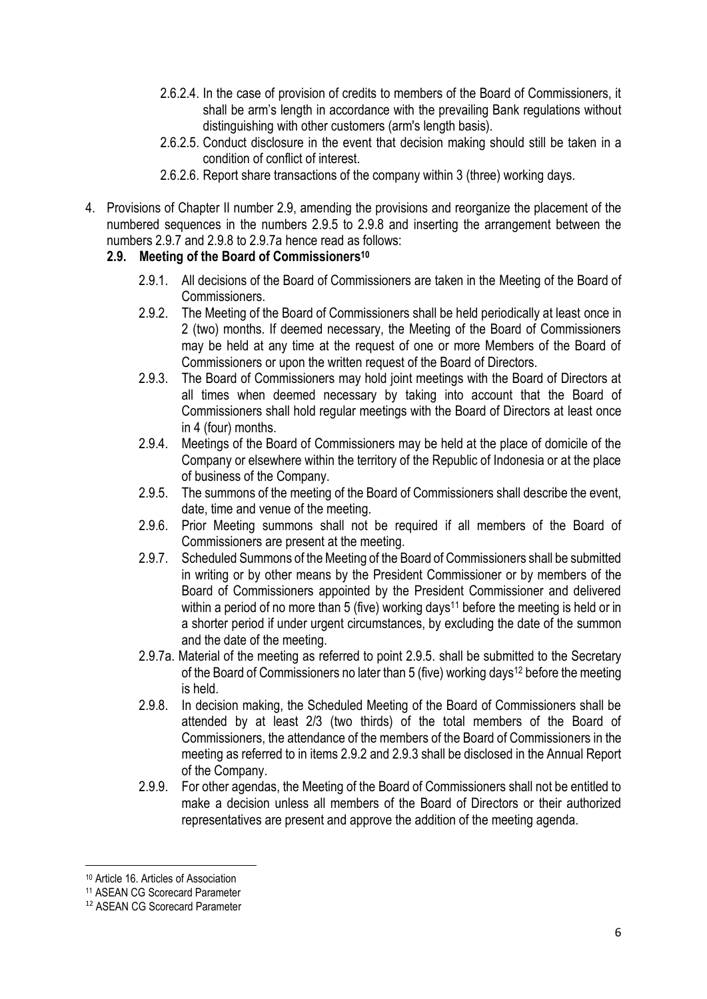- 2.6.2.4. In the case of provision of credits to members of the Board of Commissioners, it shall be arm's length in accordance with the prevailing Bank regulations without distinguishing with other customers (arm's length basis).
- 2.6.2.5. Conduct disclosure in the event that decision making should still be taken in a condition of conflict of interest.
- 2.6.2.6. Report share transactions of the company within 3 (three) working days.
- 4. Provisions of Chapter II number 2.9, amending the provisions and reorganize the placement of the numbered sequences in the numbers 2.9.5 to 2.9.8 and inserting the arrangement between the numbers 2.9.7 and 2.9.8 to 2.9.7a hence read as follows:

## **2.9. Meeting of the Board of Commissioners<sup>10</sup>**

- 2.9.1. All decisions of the Board of Commissioners are taken in the Meeting of the Board of **Commissioners**
- 2.9.2. The Meeting of the Board of Commissioners shall be held periodically at least once in 2 (two) months. If deemed necessary, the Meeting of the Board of Commissioners may be held at any time at the request of one or more Members of the Board of Commissioners or upon the written request of the Board of Directors.
- 2.9.3. The Board of Commissioners may hold joint meetings with the Board of Directors at all times when deemed necessary by taking into account that the Board of Commissioners shall hold regular meetings with the Board of Directors at least once in 4 (four) months.
- 2.9.4. Meetings of the Board of Commissioners may be held at the place of domicile of the Company or elsewhere within the territory of the Republic of Indonesia or at the place of business of the Company.
- 2.9.5. The summons of the meeting of the Board of Commissioners shall describe the event, date, time and venue of the meeting.
- 2.9.6. Prior Meeting summons shall not be required if all members of the Board of Commissioners are present at the meeting.
- 2.9.7. Scheduled Summons of the Meeting of the Board of Commissioners shall be submitted in writing or by other means by the President Commissioner or by members of the Board of Commissioners appointed by the President Commissioner and delivered within a period of no more than 5 (five) working days<sup>11</sup> before the meeting is held or in a shorter period if under urgent circumstances, by excluding the date of the summon and the date of the meeting.
- 2.9.7a. Material of the meeting as referred to point 2.9.5. shall be submitted to the Secretary of the Board of Commissioners no later than 5 (five) working days<sup>12</sup> before the meeting is held.
- 2.9.8. In decision making, the Scheduled Meeting of the Board of Commissioners shall be attended by at least 2/3 (two thirds) of the total members of the Board of Commissioners, the attendance of the members of the Board of Commissioners in the meeting as referred to in items 2.9.2 and 2.9.3 shall be disclosed in the Annual Report of the Company.
- 2.9.9. For other agendas, the Meeting of the Board of Commissioners shall not be entitled to make a decision unless all members of the Board of Directors or their authorized representatives are present and approve the addition of the meeting agenda.

**<sup>.</sup>** <sup>10</sup> Article 16. Articles of Association

<sup>11</sup> ASEAN CG Scorecard Parameter

<sup>12</sup> ASEAN CG Scorecard Parameter